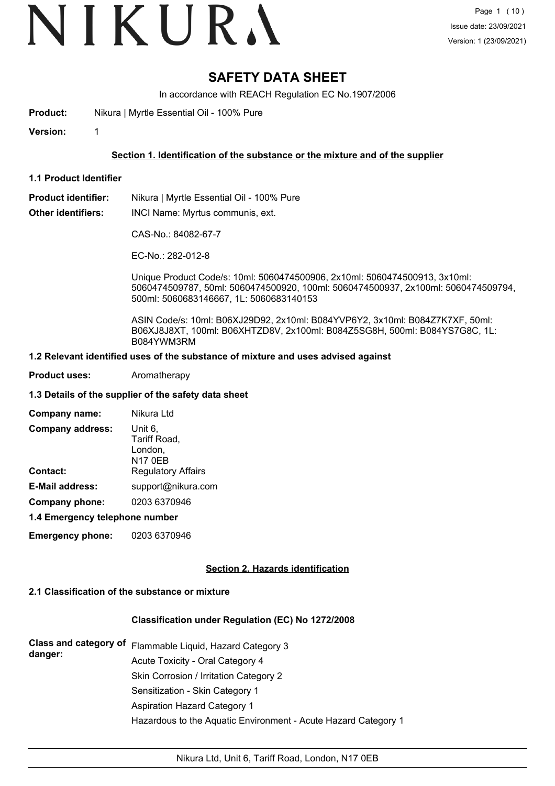# VIKURA

# **SAFETY DATA SHEET**

In accordance with REACH Regulation EC No.1907/2006

**Product:** Nikura | Myrtle Essential Oil - 100% Pure

**Version:** 1

## **Section 1. Identification of the substance or the mixture and of the supplier**

**1.1 Product Identifier**

**Product identifier:** Nikura | Myrtle Essential Oil - 100% Pure

**Other identifiers:** INCI Name: Myrtus communis, ext.

CAS-No.: 84082-67-7

EC-No.: 282-012-8

Unique Product Code/s: 10ml: 5060474500906, 2x10ml: 5060474500913, 3x10ml: 5060474509787, 50ml: 5060474500920, 100ml: 5060474500937, 2x100ml: 5060474509794, 500ml: 5060683146667, 1L: 5060683140153

ASIN Code/s: 10ml: B06XJ29D92, 2x10ml: B084YVP6Y2, 3x10ml: B084Z7K7XF, 50ml: B06XJ8J8XT, 100ml: B06XHTZD8V, 2x100ml: B084Z5SG8H, 500ml: B084YS7G8C, 1L: B084YWM3RM

#### **1.2 Relevant identified uses of the substance of mixture and uses advised against**

**Product uses:** Aromatherapy

#### **1.3 Details of the supplier of the safety data sheet**

| Company name:                  | Nikura Ltd                                           |  |
|--------------------------------|------------------------------------------------------|--|
| <b>Company address:</b>        | Unit 6.<br>Tariff Road,<br>London,<br><b>N17 0EB</b> |  |
| <b>Contact:</b>                | <b>Regulatory Affairs</b>                            |  |
| <b>E-Mail address:</b>         | support@nikura.com                                   |  |
| Company phone:                 | 0203 6370946                                         |  |
| 4.4 Emarganau talanhana numbar |                                                      |  |

#### **1.4 Emergency telephone number**

**Emergency phone:** 0203 6370946

## **Section 2. Hazards identification**

## **2.1 Classification of the substance or mixture**

## **Classification under Regulation (EC) No 1272/2008**

| danger: | Class and category of Flammable Liquid, Hazard Category 3      |
|---------|----------------------------------------------------------------|
|         | Acute Toxicity - Oral Category 4                               |
|         | Skin Corrosion / Irritation Category 2                         |
|         | Sensitization - Skin Category 1                                |
|         | Aspiration Hazard Category 1                                   |
|         | Hazardous to the Aquatic Environment - Acute Hazard Category 1 |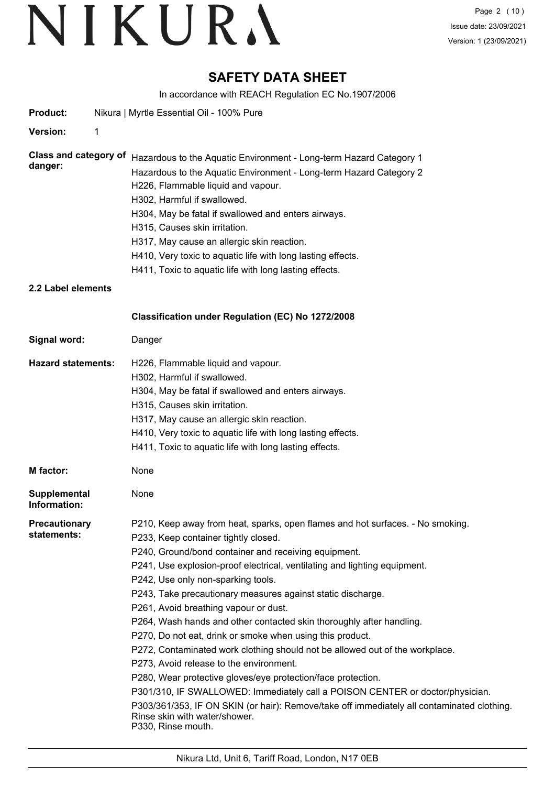# **SAFETY DATA SHEET**

In accordance with REACH Regulation EC No.1907/2006

| Product:                                | Nikura   Myrtle Essential Oil - 100% Pure                                                                                                                                                                                                                                                                                                                                                                                                                                                                                                                                                                                                                                                                                                                                                                                                                                                                                                                                       |
|-----------------------------------------|---------------------------------------------------------------------------------------------------------------------------------------------------------------------------------------------------------------------------------------------------------------------------------------------------------------------------------------------------------------------------------------------------------------------------------------------------------------------------------------------------------------------------------------------------------------------------------------------------------------------------------------------------------------------------------------------------------------------------------------------------------------------------------------------------------------------------------------------------------------------------------------------------------------------------------------------------------------------------------|
| <b>Version:</b>                         | 1                                                                                                                                                                                                                                                                                                                                                                                                                                                                                                                                                                                                                                                                                                                                                                                                                                                                                                                                                                               |
| <b>Class and category of</b><br>danger: | Hazardous to the Aquatic Environment - Long-term Hazard Category 1<br>Hazardous to the Aquatic Environment - Long-term Hazard Category 2<br>H226, Flammable liquid and vapour.<br>H302, Harmful if swallowed.                                                                                                                                                                                                                                                                                                                                                                                                                                                                                                                                                                                                                                                                                                                                                                   |
|                                         | H304, May be fatal if swallowed and enters airways.<br>H315, Causes skin irritation.<br>H317, May cause an allergic skin reaction.<br>H410, Very toxic to aquatic life with long lasting effects.<br>H411, Toxic to aquatic life with long lasting effects.                                                                                                                                                                                                                                                                                                                                                                                                                                                                                                                                                                                                                                                                                                                     |
| 2.2 Label elements                      |                                                                                                                                                                                                                                                                                                                                                                                                                                                                                                                                                                                                                                                                                                                                                                                                                                                                                                                                                                                 |
|                                         | Classification under Regulation (EC) No 1272/2008                                                                                                                                                                                                                                                                                                                                                                                                                                                                                                                                                                                                                                                                                                                                                                                                                                                                                                                               |
| Signal word:                            | Danger                                                                                                                                                                                                                                                                                                                                                                                                                                                                                                                                                                                                                                                                                                                                                                                                                                                                                                                                                                          |
| <b>Hazard statements:</b>               | H226, Flammable liquid and vapour.<br>H302, Harmful if swallowed.<br>H304, May be fatal if swallowed and enters airways.<br>H315, Causes skin irritation.<br>H317, May cause an allergic skin reaction.<br>H410, Very toxic to aquatic life with long lasting effects.<br>H411, Toxic to aquatic life with long lasting effects.                                                                                                                                                                                                                                                                                                                                                                                                                                                                                                                                                                                                                                                |
| <b>M</b> factor:                        | None                                                                                                                                                                                                                                                                                                                                                                                                                                                                                                                                                                                                                                                                                                                                                                                                                                                                                                                                                                            |
| <b>Supplemental</b><br>Information:     | None                                                                                                                                                                                                                                                                                                                                                                                                                                                                                                                                                                                                                                                                                                                                                                                                                                                                                                                                                                            |
| <b>Precautionary</b><br>statements:     | P210, Keep away from heat, sparks, open flames and hot surfaces. - No smoking.<br>P233, Keep container tightly closed.<br>P240, Ground/bond container and receiving equipment.<br>P241, Use explosion-proof electrical, ventilating and lighting equipment.<br>P242, Use only non-sparking tools.<br>P243, Take precautionary measures against static discharge.<br>P261, Avoid breathing vapour or dust.<br>P264, Wash hands and other contacted skin thoroughly after handling.<br>P270, Do not eat, drink or smoke when using this product.<br>P272, Contaminated work clothing should not be allowed out of the workplace.<br>P273, Avoid release to the environment.<br>P280, Wear protective gloves/eye protection/face protection.<br>P301/310, IF SWALLOWED: Immediately call a POISON CENTER or doctor/physician.<br>P303/361/353, IF ON SKIN (or hair): Remove/take off immediately all contaminated clothing.<br>Rinse skin with water/shower.<br>P330, Rinse mouth. |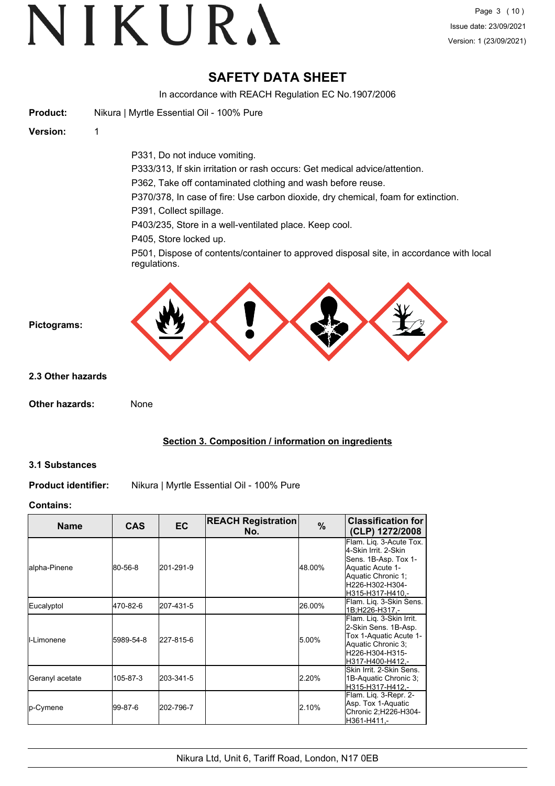# **SAFETY DATA SHEET**

In accordance with REACH Regulation EC No.1907/2006

|                            | accordance with nur to in regalation London/Lococ                                                                                                                                                                                                                                                                                                                                                                                                                                         |
|----------------------------|-------------------------------------------------------------------------------------------------------------------------------------------------------------------------------------------------------------------------------------------------------------------------------------------------------------------------------------------------------------------------------------------------------------------------------------------------------------------------------------------|
| <b>Product:</b>            | Nikura   Myrtle Essential Oil - 100% Pure                                                                                                                                                                                                                                                                                                                                                                                                                                                 |
| Version:                   | 1                                                                                                                                                                                                                                                                                                                                                                                                                                                                                         |
|                            | P331, Do not induce vomiting.<br>P333/313, If skin irritation or rash occurs: Get medical advice/attention.<br>P362, Take off contaminated clothing and wash before reuse.<br>P370/378, In case of fire: Use carbon dioxide, dry chemical, foam for extinction.<br>P391, Collect spillage.<br>P403/235, Store in a well-ventilated place. Keep cool.<br>P405, Store locked up.<br>P501, Dispose of contents/container to approved disposal site, in accordance with local<br>regulations. |
| Pictograms:                |                                                                                                                                                                                                                                                                                                                                                                                                                                                                                           |
| 2.3 Other hazards          |                                                                                                                                                                                                                                                                                                                                                                                                                                                                                           |
| Other hazards:             | None                                                                                                                                                                                                                                                                                                                                                                                                                                                                                      |
|                            | Section 3. Composition / information on ingredients                                                                                                                                                                                                                                                                                                                                                                                                                                       |
| <b>3.1 Substances</b>      |                                                                                                                                                                                                                                                                                                                                                                                                                                                                                           |
| <b>Product identifier:</b> | Nikura   Myrtle Essential Oil - 100% Pure                                                                                                                                                                                                                                                                                                                                                                                                                                                 |

#### **Contains:**

| <b>Name</b>         | <b>CAS</b> | <b>EC</b> | <b>REACH Registration</b><br>No. | $\frac{9}{6}$ | <b>Classification for</b><br>(CLP) 1272/2008                                                                                                             |
|---------------------|------------|-----------|----------------------------------|---------------|----------------------------------------------------------------------------------------------------------------------------------------------------------|
| lalpha-Pinene       | 80-56-8    | 201-291-9 |                                  | 48.00%        | Flam. Lig. 3-Acute Tox.<br>4-Skin Irrit, 2-Skin<br>Sens. 1B-Asp. Tox 1-<br>Aquatic Acute 1-<br>Aquatic Chronic 1;<br>H226-H302-H304-<br>H315-H317-H410.- |
| Eucalyptol          | 470-82-6   | 207-431-5 |                                  | 26.00%        | Flam. Lig. 3-Skin Sens.<br>l1B:H226-H317.-                                                                                                               |
| <b>I</b> I-Limonene | 5989-54-8  | 227-815-6 |                                  | 5.00%         | Flam. Liq. 3-Skin Irrit.<br>2-Skin Sens. 1B-Asp.<br>Tox 1-Aquatic Acute 1-<br>Aquatic Chronic 3;<br>H226-H304-H315-<br>H317-H400-H412.-                  |
| Geranyl acetate     | 105-87-3   | 203-341-5 |                                  | 2.20%         | lSkin Irrit. 2-Skin Sens.<br>1B-Aquatic Chronic 3;<br>H315-H317-H412.-                                                                                   |
| <b>l</b> p-Cymene   | 199-87-6   | 202-796-7 |                                  | 2.10%         | Flam. Liq. 3-Repr. 2-<br>Asp. Tox 1-Aquatic<br>Chronic 2;H226-H304-<br>H361-H411.-                                                                       |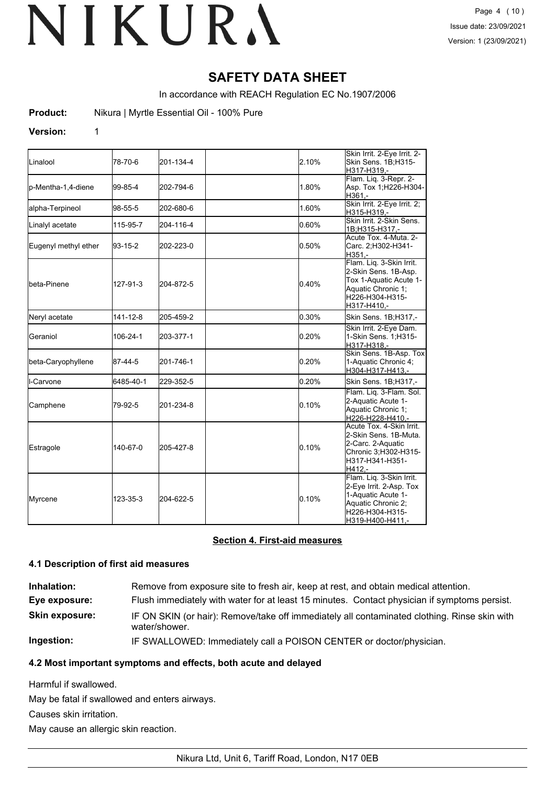# **SAFETY DATA SHEET**

In accordance with REACH Regulation EC No.1907/2006

**Product:** Nikura | Myrtle Essential Oil - 100% Pure

#### **Version:** 1

| <b>L</b> inalool     |                | 201-134-4 |       | Skin Irrit. 2-Eye Irrit. 2-                                                                                                            |
|----------------------|----------------|-----------|-------|----------------------------------------------------------------------------------------------------------------------------------------|
|                      | 78-70-6        |           | 2.10% | Skin Sens. 1B;H315-<br>H317-H319.-                                                                                                     |
| p-Mentha-1,4-diene   | 99-85-4        | 202-794-6 | 1.80% | Flam. Liq. 3-Repr. 2-<br>Asp. Tox 1;H226-H304-<br>H361.-                                                                               |
| alpha-Terpineol      | 98-55-5        | 202-680-6 | 1.60% | Skin Irrit. 2-Eye Irrit. 2;<br>H315-H319,-                                                                                             |
| Linalyl acetate      | 115-95-7       | 204-116-4 | 0.60% | Skin Irrit, 2-Skin Sens.<br>1B;H315-H317,-                                                                                             |
| Eugenyl methyl ether | 93-15-2        | 202-223-0 | 0.50% | Acute Tox. 4-Muta. 2-<br>Carc. 2;H302-H341-<br>$H351 -$                                                                                |
| <b>l</b> beta-Pinene | 127-91-3       | 204-872-5 | 0.40% | Flam. Liq. 3-Skin Irrit.<br>2-Skin Sens. 1B-Asp.<br>Tox 1-Aquatic Acute 1-<br>Aquatic Chronic 1;<br>H226-H304-H315-<br>H317-H410,-     |
| Neryl acetate        | $141 - 12 - 8$ | 205-459-2 | 0.30% | Skin Sens. 1B;H317,-                                                                                                                   |
| Geraniol             | 106-24-1       | 203-377-1 | 0.20% | Skin Irrit. 2-Eye Dam.<br>1-Skin Sens. 1:H315-<br>H317-H318,-                                                                          |
| beta-Caryophyllene   | 87-44-5        | 201-746-1 | 0.20% | Skin Sens. 1B-Asp. Tox<br>1-Aquatic Chronic 4;<br>H304-H317-H413,-                                                                     |
| l-Carvone            | 6485-40-1      | 229-352-5 | 0.20% | Skin Sens. 1B;H317,-                                                                                                                   |
| Camphene             | 79-92-5        | 201-234-8 | 0.10% | Flam. Liq. 3-Flam. Sol.<br>2-Aquatic Acute 1-<br>Aquatic Chronic 1;<br>H226-H228-H410,-                                                |
| Estragole            | 140-67-0       | 205-427-8 | 0.10% | Acute Tox. 4-Skin Irrit.<br>2-Skin Sens. 1B-Muta.<br>2-Carc. 2-Aquatic<br>Chronic 3;H302-H315-<br>H317-H341-H351-<br>H412,-            |
| Myrcene              | 123-35-3       | 204-622-5 | 0.10% | Flam. Liq. 3-Skin Irrit.<br>2-Eye Irrit. 2-Asp. Tox<br>1-Aquatic Acute 1-<br>Aquatic Chronic 2:<br>H226-H304-H315-<br>H319-H400-H411,- |

### **Section 4. First-aid measures**

## **4.1 Description of first aid measures**

| Inhalation:           | Remove from exposure site to fresh air, keep at rest, and obtain medical attention.                           |
|-----------------------|---------------------------------------------------------------------------------------------------------------|
| Eye exposure:         | Flush immediately with water for at least 15 minutes. Contact physician if symptoms persist.                  |
| <b>Skin exposure:</b> | IF ON SKIN (or hair): Remove/take off immediately all contaminated clothing. Rinse skin with<br>water/shower. |
| Ingestion:            | IF SWALLOWED: Immediately call a POISON CENTER or doctor/physician.                                           |

## **4.2 Most important symptoms and effects, both acute and delayed**

Harmful if swallowed.

May be fatal if swallowed and enters airways.

Causes skin irritation.

May cause an allergic skin reaction.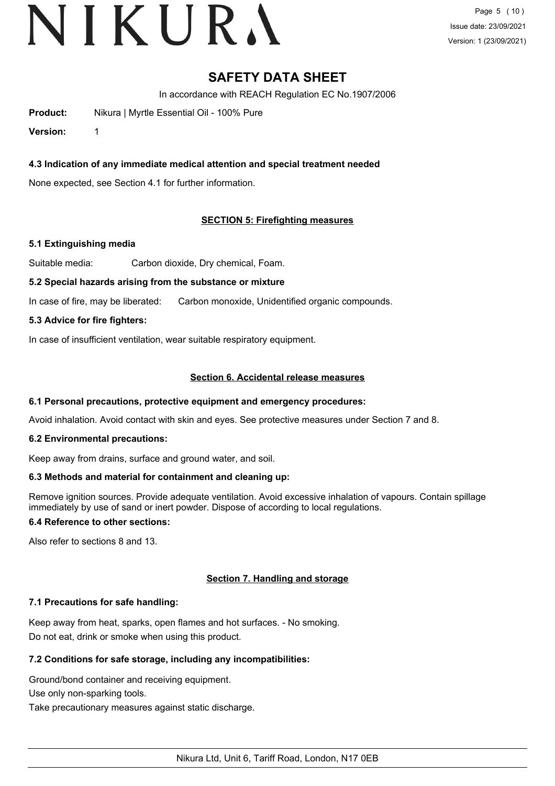# VIKURA

# **SAFETY DATA SHEET**

In accordance with REACH Regulation EC No.1907/2006

**Product:** Nikura | Myrtle Essential Oil - 100% Pure

**Version:** 1

# **4.3 Indication of any immediate medical attention and special treatment needed**

None expected, see Section 4.1 for further information.

# **SECTION 5: Firefighting measures**

## **5.1 Extinguishing media**

Suitable media: Carbon dioxide, Dry chemical, Foam.

#### **5.2 Special hazards arising from the substance or mixture**

In case of fire, may be liberated: Carbon monoxide, Unidentified organic compounds.

## **5.3 Advice for fire fighters:**

In case of insufficient ventilation, wear suitable respiratory equipment.

#### **Section 6. Accidental release measures**

## **6.1 Personal precautions, protective equipment and emergency procedures:**

Avoid inhalation. Avoid contact with skin and eyes. See protective measures under Section 7 and 8.

## **6.2 Environmental precautions:**

Keep away from drains, surface and ground water, and soil.

## **6.3 Methods and material for containment and cleaning up:**

Remove ignition sources. Provide adequate ventilation. Avoid excessive inhalation of vapours. Contain spillage immediately by use of sand or inert powder. Dispose of according to local regulations.

## **6.4 Reference to other sections:**

Also refer to sections 8 and 13.

## **Section 7. Handling and storage**

## **7.1 Precautions for safe handling:**

Keep away from heat, sparks, open flames and hot surfaces. - No smoking. Do not eat, drink or smoke when using this product.

## **7.2 Conditions for safe storage, including any incompatibilities:**

Ground/bond container and receiving equipment.

Use only non-sparking tools.

Take precautionary measures against static discharge.

Nikura Ltd, Unit 6, Tariff Road, London, N17 0EB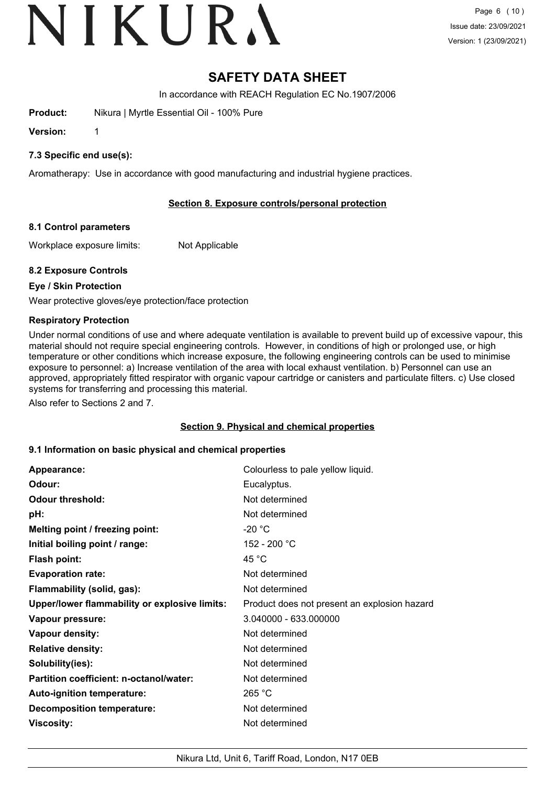# VIKURA

# **SAFETY DATA SHEET**

In accordance with REACH Regulation EC No.1907/2006

**Product:** Nikura | Myrtle Essential Oil - 100% Pure

**Version:** 1

# **7.3 Specific end use(s):**

Aromatherapy: Use in accordance with good manufacturing and industrial hygiene practices.

# **Section 8. Exposure controls/personal protection**

## **8.1 Control parameters**

Workplace exposure limits: Not Applicable

# **8.2 Exposure Controls**

# **Eye / Skin Protection**

Wear protective gloves/eye protection/face protection

# **Respiratory Protection**

Under normal conditions of use and where adequate ventilation is available to prevent build up of excessive vapour, this material should not require special engineering controls. However, in conditions of high or prolonged use, or high temperature or other conditions which increase exposure, the following engineering controls can be used to minimise exposure to personnel: a) Increase ventilation of the area with local exhaust ventilation. b) Personnel can use an approved, appropriately fitted respirator with organic vapour cartridge or canisters and particulate filters. c) Use closed systems for transferring and processing this material.

Also refer to Sections 2 and 7.

## **Section 9. Physical and chemical properties**

## **9.1 Information on basic physical and chemical properties**

| Appearance:                                   | Colourless to pale yellow liquid.            |
|-----------------------------------------------|----------------------------------------------|
| Odour:                                        | Eucalyptus.                                  |
| <b>Odour threshold:</b>                       | Not determined                               |
| pH:                                           | Not determined                               |
| Melting point / freezing point:               | $-20 °C$                                     |
| Initial boiling point / range:                | 152 - 200 °C                                 |
| <b>Flash point:</b>                           | 45 °C                                        |
| <b>Evaporation rate:</b>                      | Not determined                               |
| Flammability (solid, gas):                    | Not determined                               |
| Upper/lower flammability or explosive limits: | Product does not present an explosion hazard |
| Vapour pressure:                              | 3.040000 - 633.000000                        |
| Vapour density:                               | Not determined                               |
| <b>Relative density:</b>                      | Not determined                               |
| Solubility(ies):                              | Not determined                               |
| Partition coefficient: n-octanol/water:       | Not determined                               |
| Auto-ignition temperature:                    | 265 °C                                       |
| <b>Decomposition temperature:</b>             | Not determined                               |
| <b>Viscosity:</b>                             | Not determined                               |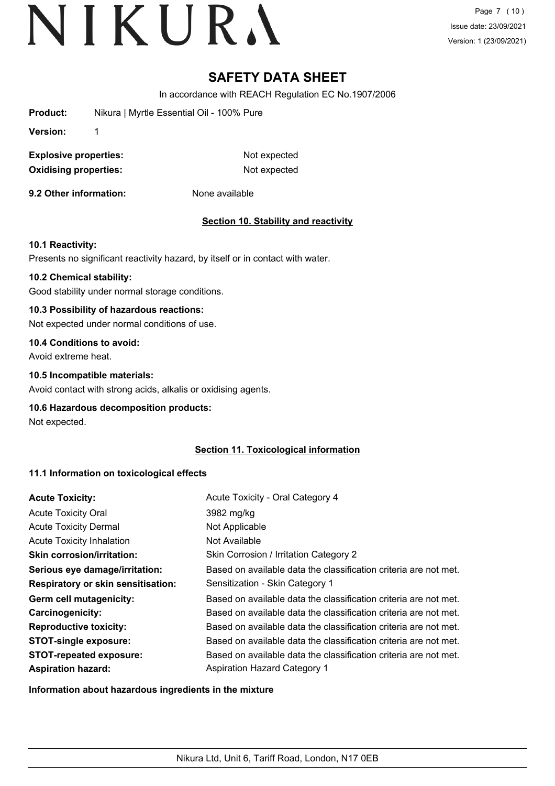Page 7 (10) Issue date: 23/09/2021 Version: 1 (23/09/2021)

# **SAFETY DATA SHEET**

In accordance with REACH Regulation EC No.1907/2006

**Product:** Nikura | Myrtle Essential Oil - 100% Pure

**Version:** 1

**Explosive properties:** Not expected **Oxidising properties:** Not expected

**9.2 Other information:** None available

# **Section 10. Stability and reactivity**

## **10.1 Reactivity:**

Presents no significant reactivity hazard, by itself or in contact with water.

## **10.2 Chemical stability:**

Good stability under normal storage conditions.

# **10.3 Possibility of hazardous reactions:**

Not expected under normal conditions of use.

# **10.4 Conditions to avoid:**

Avoid extreme heat.

# **10.5 Incompatible materials:**

Avoid contact with strong acids, alkalis or oxidising agents.

## **10.6 Hazardous decomposition products:**

Not expected.

# **Section 11. Toxicological information**

# **11.1 Information on toxicological effects**

| <b>Acute Toxicity:</b>                    | Acute Toxicity - Oral Category 4                                 |
|-------------------------------------------|------------------------------------------------------------------|
| <b>Acute Toxicity Oral</b>                | 3982 mg/kg                                                       |
| <b>Acute Toxicity Dermal</b>              | Not Applicable                                                   |
| <b>Acute Toxicity Inhalation</b>          | Not Available                                                    |
| <b>Skin corrosion/irritation:</b>         | Skin Corrosion / Irritation Category 2                           |
| Serious eye damage/irritation:            | Based on available data the classification criteria are not met. |
| <b>Respiratory or skin sensitisation:</b> | Sensitization - Skin Category 1                                  |
| Germ cell mutagenicity:                   | Based on available data the classification criteria are not met. |
| <b>Carcinogenicity:</b>                   | Based on available data the classification criteria are not met. |
| <b>Reproductive toxicity:</b>             | Based on available data the classification criteria are not met. |
| <b>STOT-single exposure:</b>              | Based on available data the classification criteria are not met. |
| <b>STOT-repeated exposure:</b>            | Based on available data the classification criteria are not met. |
| <b>Aspiration hazard:</b>                 | <b>Aspiration Hazard Category 1</b>                              |

**Information about hazardous ingredients in the mixture**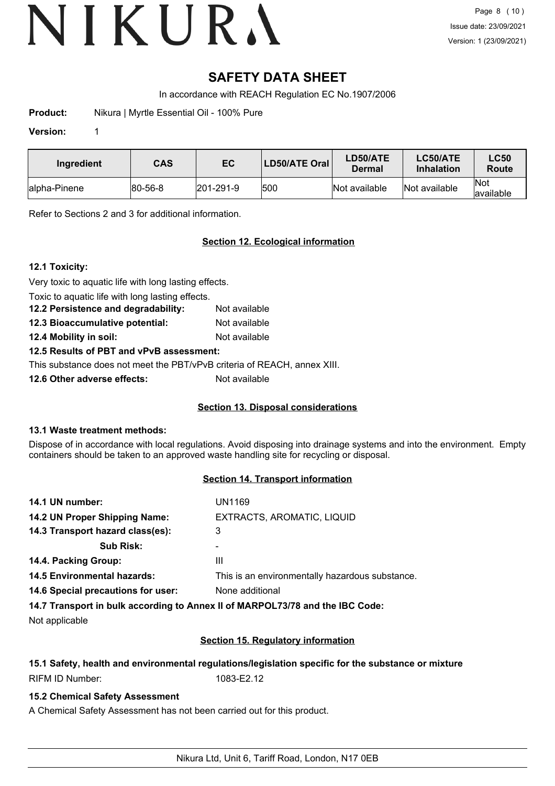# **SAFETY DATA SHEET**

In accordance with REACH Regulation EC No.1907/2006

**Product:** Nikura | Myrtle Essential Oil - 100% Pure

## **Version:** 1

| Ingredient    | <b>CAS</b>     | EC                | LD50/ATE Oral | LD50/ATE<br>Dermal | LC50/ATE<br><b>Inhalation</b> | <b>LC50</b><br>Route     |
|---------------|----------------|-------------------|---------------|--------------------|-------------------------------|--------------------------|
| lalpha-Pinene | $ 80 - 56 - 8$ | $ 201 - 291 - 9 $ | 1500          | Not available      | Not available                 | <b>Not</b><br>lavailable |

Refer to Sections 2 and 3 for additional information.

# **Section 12. Ecological information**

# **12.1 Toxicity:**

Very toxic to aquatic life with long lasting effects.

Toxic to aquatic life with long lasting effects.

**12.2 Persistence and degradability:** Not available **12.3 Bioaccumulative potential:** Not available

**12.4 Mobility in soil:** Not available

# **12.5 Results of PBT and vPvB assessment:**

This substance does not meet the PBT/vPvB criteria of REACH, annex XIII.

**12.6 Other adverse effects:** Not available

# **Section 13. Disposal considerations**

## **13.1 Waste treatment methods:**

Dispose of in accordance with local regulations. Avoid disposing into drainage systems and into the environment. Empty containers should be taken to an approved waste handling site for recycling or disposal.

## **Section 14. Transport information**

| 14.1 UN number:                                             | <b>UN1169</b>                                                                                                  |
|-------------------------------------------------------------|----------------------------------------------------------------------------------------------------------------|
| EXTRACTS, AROMATIC, LIQUID<br>14.2 UN Proper Shipping Name: |                                                                                                                |
| 14.3 Transport hazard class(es):                            | 3                                                                                                              |
| <b>Sub Risk:</b>                                            |                                                                                                                |
| 14.4. Packing Group:                                        | Ш                                                                                                              |
| <b>14.5 Environmental hazards:</b>                          | This is an environmentally hazardous substance.                                                                |
| 14.6 Special precautions for user:                          | None additional                                                                                                |
|                                                             | 44 W. The constant of the collection of the Association of MARING All WALLER Association of the Association of |

**14.7 Transport in bulk according to Annex II of MARPOL73/78 and the IBC Code:**

Not applicable

# **Section 15. Regulatory information**

# **15.1 Safety, health and environmental regulations/legislation specific for the substance or mixture** RIFM ID Number: 1083-E2.12

# **15.2 Chemical Safety Assessment**

A Chemical Safety Assessment has not been carried out for this product.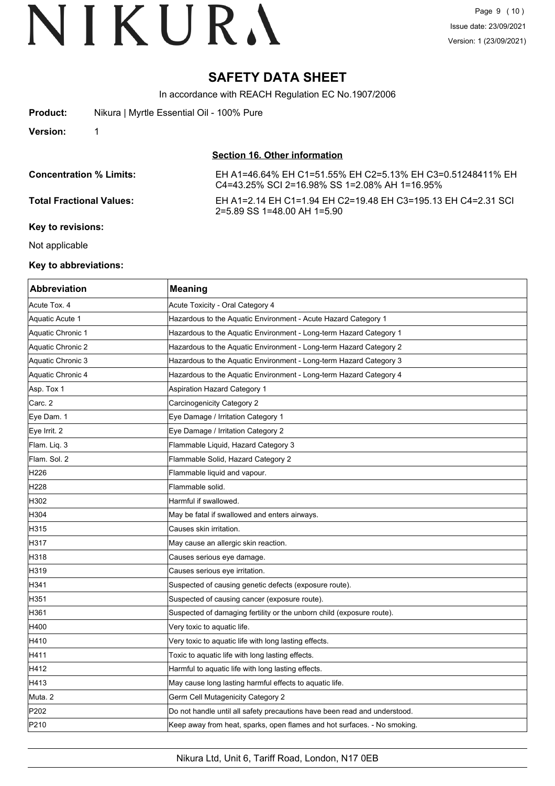# **SAFETY DATA SHEET**

In accordance with REACH Regulation EC No.1907/2006

| <b>Product:</b>                 | Nikura   Myrtle Essential Oil - 100% Pure |                                                                                                             |
|---------------------------------|-------------------------------------------|-------------------------------------------------------------------------------------------------------------|
| <b>Version:</b>                 |                                           |                                                                                                             |
|                                 |                                           | Section 16. Other information                                                                               |
| <b>Concentration % Limits:</b>  |                                           | EH A1=46.64% EH C1=51.55% EH C2=5.13% EH C3=0.51248411% EH<br>C4=43.25% SCI 2=16.98% SS 1=2.08% AH 1=16.95% |
| <b>Total Fractional Values:</b> |                                           | EH A1=2.14 EH C1=1.94 EH C2=19.48 EH C3=195.13 EH C4=2.31 SCI<br>2=5.89 SS 1=48.00 AH 1=5.90                |
| Key to revisions:               |                                           |                                                                                                             |

Not applicable

#### **Key to abbreviations:**

| <b>Abbreviation</b> | <b>Meaning</b>                                                            |
|---------------------|---------------------------------------------------------------------------|
| Acute Tox. 4        | Acute Toxicity - Oral Category 4                                          |
| Aquatic Acute 1     | Hazardous to the Aquatic Environment - Acute Hazard Category 1            |
| Aquatic Chronic 1   | Hazardous to the Aquatic Environment - Long-term Hazard Category 1        |
| Aquatic Chronic 2   | Hazardous to the Aquatic Environment - Long-term Hazard Category 2        |
| Aquatic Chronic 3   | Hazardous to the Aquatic Environment - Long-term Hazard Category 3        |
| Aquatic Chronic 4   | Hazardous to the Aquatic Environment - Long-term Hazard Category 4        |
| Asp. Tox 1          | Aspiration Hazard Category 1                                              |
| Carc. 2             | Carcinogenicity Category 2                                                |
| Eye Dam. 1          | Eye Damage / Irritation Category 1                                        |
| Eye Irrit. 2        | Eye Damage / Irritation Category 2                                        |
| Flam. Liq. 3        | Flammable Liquid, Hazard Category 3                                       |
| Flam. Sol. 2        | Flammable Solid, Hazard Category 2                                        |
| H226                | Flammable liquid and vapour.                                              |
| H228                | Flammable solid.                                                          |
| H302                | Harmful if swallowed.                                                     |
| H304                | May be fatal if swallowed and enters airways.                             |
| H315                | Causes skin irritation.                                                   |
| H317                | May cause an allergic skin reaction.                                      |
| H318                | Causes serious eye damage.                                                |
| H319                | Causes serious eye irritation.                                            |
| H341                | Suspected of causing genetic defects (exposure route).                    |
| H351                | Suspected of causing cancer (exposure route).                             |
| H361                | Suspected of damaging fertility or the unborn child (exposure route).     |
| H400                | Very toxic to aquatic life.                                               |
| H410                | Very toxic to aquatic life with long lasting effects.                     |
| H411                | Toxic to aquatic life with long lasting effects.                          |
| H412                | Harmful to aquatic life with long lasting effects.                        |
| H413                | May cause long lasting harmful effects to aquatic life.                   |
| Muta. 2             | Germ Cell Mutagenicity Category 2                                         |
| P202                | Do not handle until all safety precautions have been read and understood. |
| P210                | Keep away from heat, sparks, open flames and hot surfaces. - No smoking.  |